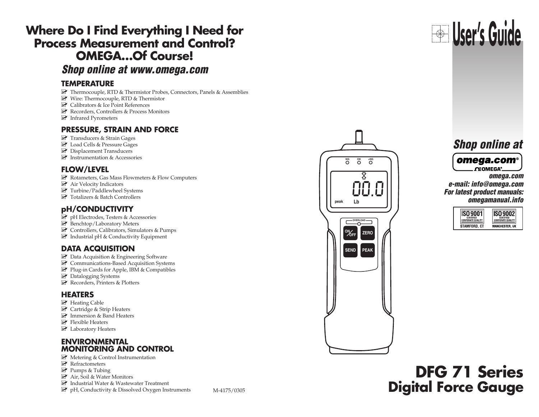## **Where Do I Find Everything I Need for Process Measurement and Control? OMEGA…Of Course!**

**Shop online at www.omega.com**

### **TEMPERATURE**

- $\mathbb{F}$  Thermocouple, RTD & Thermistor Probes, Connectors, Panels & Assemblies
- **E** Wire: Thermocouple, RTD & Thermistor
- Calibrators & Ice Point References
- Recorders, Controllers & Process Monitors
- **E** Infrared Pyrometers

### **PRESSURE, STRAIN AND FORCE**

- $\mathbb{Z}$  Transducers & Strain Gages
- **Z** Load Cells & Pressure Gages
- Displacement Transducers
- $\triangleright$  Instrumentation & Accessories

### **FLOW/LEVEL**

- $\mathbb F$  Rotameters, Gas Mass Flowmeters & Flow Computers
- Air Velocity Indicators
- Turbine/Paddlewheel Systems
- Totalizers & Batch Controllers

### **pH/CONDUCTIVITY**

- pH Electrodes, Testers & Accessories
- **Z** Benchtop/Laboratory Meters
- Controllers, Calibrators, Simulators & Pumps
- **E** Industrial pH & Conductivity Equipment

### **DATA ACQUISITION**

- Data Acquisition & Engineering Software
- **Z** Communications-Based Acquisition Systems
- Plug-in Cards for Apple, IBM & Compatibles
- $\mathbb{F}$  Datalogging Systems
- Recorders, Printers & Plotters

### **HEATERS**

- **E** Heating Cable
- Cartridge & Strip Heaters
- **M** Immersion & Band Heaters
- $\blacktriangleright$  Flexible Heaters
- **Z** Laboratory Heaters

### **ENVIRONMENTAL MONITORING AND CONTROL**

- **Metering & Control Instrumentation**
- $\blacktriangleright$  Refractometers
- **P** Pumps & Tubing
- Air, Soil & Water Monitors
- Industrial Water & Wastewater Treatment
- $\mathbb{F}$  pH, Conductivity & Dissolved Oxygen Instruments



# **User's Guide**

**omega.com e-mail: info@omega.com For latest product manuals: omegamanual.info**

| <b>CERTIFIED</b>         | <b>CERTIFIED</b>         |
|--------------------------|--------------------------|
| <b>CORPORATE QUALITY</b> | <b>CORPORATE QUALITY</b> |
| STAMFORD. CT             | <b>MANCHESTER, UK</b>    |

# **DFG 71 Series** M-4175/0305 **Digital Force Gauge**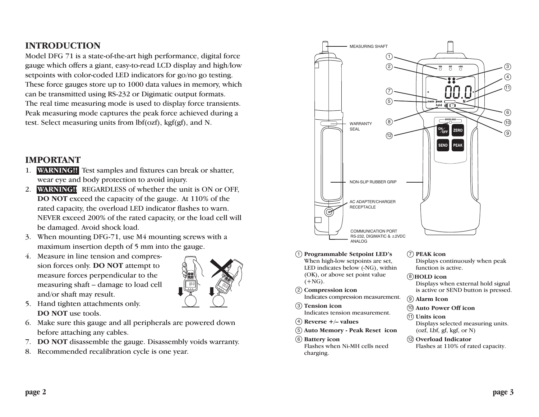### **INTRODUCTION**

Model DFG 71 is a state-of-the-art high performance, digital force gauge which offers a giant, easy-to-read LCD display and high/low setpoints with color-coded LED indicators for go/no go testing. These force gauges store up to 1000 data values in memory, which can be transmitted using RS-232 or Digimatic output formats. The real time measuring mode is used to display force transients. Peak measuring mode captures the peak force achieved during a test. Select measuring units from lbf(ozf), kgf(gf), and N.

### **IMPORTANT**

- 1. **WARNING!!** Test samples and fixtures can break or shatter, wear eye and body protection to avoid injury.
- 2. **WARNING!!** REGARDLESS of whether the unit is ON or OFF, **DO NOT** exceed the capacity of the gauge. At 110% of the rated capacity, the overload LED indicator flashes to warn. NEVER exceed 200% of the rated capacity, or the load cell will be damaged. Avoid shock load.
- 3. When mounting DFG-71, use M4 mounting screws with a maximum insertion depth of 5 mm into the gauge.
- 4. Measure in line tension and compression forces only. **DO NOT** attempt to measure forces perpendicular to the measuring shaft – damage to load cell and/or shaft may result.



- 5. Hand tighten attachments only. **DO NOT** use tools.
- 6. Make sure this gauge and all peripherals are powered down before attaching any cables.
- 7. **DO NOT** disassemble the gauge. Disassembly voids warranty.
- 8. Recommended recalibration cycle is one year.



- **Programmable Setpoint LED's** 1 When high-low setpoints are set, LED indicates below (-NG), within (OK), or above set point value  $(+NG).$
- **Compression icon** 2 Indicates compression measurement.
- **Tension icon** 3 Indicates tension measurement.
- **Reverse +/– values** 4
- **Auto Memory Peak Reset icon** 5
- **Battery icon** 6 Flashes when Ni-MH cells need charging.

#### **PEAK icon** 7

Displays continuously when peak function is active.

**HOLD icon** 8

Displays when external hold signal is active or SEND button is pressed.

- **Alarm Icon** 9
- **Auto Power Off icon** 10
- **Units icon** 11 Displays selected measuring units. (ozf, Lbf, gf, kgf, or N)
- **Overload Indicator** 12 Flashes at 110% of rated capacity.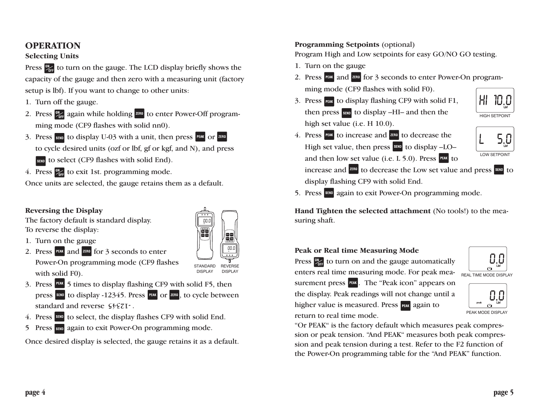### **OPERATION**

### **Selecting Units**

Press  $\frac{1}{2}$  to turn on the gauge. The LCD display briefly shows the capacity of the gauge and then zero with a measuring unit (factory setup is lbf). If you want to change to other units:

- 1. Turn off the gauge.
- 2. Press  $\frac{1}{2}$  again while holding  $\frac{1}{2}$  to enter Power-Off programming mode (CF9 flashes with solid nn0).
- 3. Press  $\frac{1}{2}$  to display U-03 with a unit, then press PEAK or  $\frac{1}{2}$   $\frac{1}{2}$  are  $\frac{1}{2}$ to cycle desired units (ozf or lbf, gf or kgf, and N), and press **SEND** to select (CF9 flashes with solid End).
- 4. Press  $\frac{dN}{dr}$  to exit 1st. programming mode.

Once units are selected, the gauge retains them as a default.

00.0 **OK +NG**

STANDARD REVERSE<br>DISPLAY DISPLAY

00.0 **OK +NG**

**OVERLOAD SEND PEAK ONOFF**

**OVERLOAD SEND PEAK ONOFF**

### **Reversing the Display**

The factory default is standard display. To reverse the display:

- 1. Turn on the gauge
- 2. Press  $\frac{PEM}{PEM}$  and  $\frac{200}{100}$  for 3 seconds to enter Power-On programming mode (CF9 flashes with solid F0).
- 3. Press  $\frac{PFAK}{S}$  5 times to display flashing CF9 with solid F5, then press  $\frac{\sinh{p}}{\cosh{p}}$  to display -12345. Press  $\frac{\sinh{p}}{\cosh{p}}$  or  $\frac{\sinh{p}}{\cosh{p}}$ , to cycle between standard and reverse  $\zeta \xi \zeta \zeta \zeta \cdots$
- 4. Press  $\frac{1}{2}$  to select, the display flashes CF9 with solid End.
- 5 Press **SEND** again to exit Power-On programming mode.

Once desired display is selected, the gauge retains it as a default.

### **Programming Setpoints** (optional)

Program High and Low setpoints for easy GO/NO GO testing.

- 1. Turn on the gauge
- 2. Press PEAK and <sup>ZERO</sup> for 3 seconds to enter Power-On programming mode (CF9 flashes with solid F0).
- 3. Press  $\frac{1}{2}$  to display flashing CF9 with solid F1, then press  $\frac{1}{1000}$  to display –HI– and then the high set value (i.e. H 10.0).



4. Press  $P<sub>EM</sub>$  to increase and  $R<sub>EM</sub>$  to decrease the High set value, then press  $\frac{\text{sum}}{\text{sum}}$  to display –LO– and then low set value (i.e.  $L$  5.0). Press  $R$  to LOW SETPOINT

increase and **ZERO** to decrease the Low set value and press **SERO** to display flashing CF9 with solid End.

5. Press **SEND** again to exit Power-On programming mode.

**Hand Tighten the selected attachment** (No tools!) to the measuring shaft.

### **Peak or Real time Measuring Mode**

Press  $\frac{dy}{dx}$  to turn on and the gauge automatically enters real time measuring mode. For peak mea- $\overline{R_{\text{EAL TIME MODE DISPLAY}}}$ surement press **PEAK**. The "Peak icon" appears on the display. Peak readings will not change until a higher value is measured. Press **FEAK** again to

| Lbf                   |
|-----------------------|
|                       |
| TIME MODE DICDI<br>۸۱ |

PEAK MODE DISPLAY

return to real time mode.

"Or PEAK" is the factory default which measures peak compression or peak tension. "And PEAK" measures both peak compression and peak tension during a test. Refer to the F2 function of the Power-On programming table for the "And PEAK" function.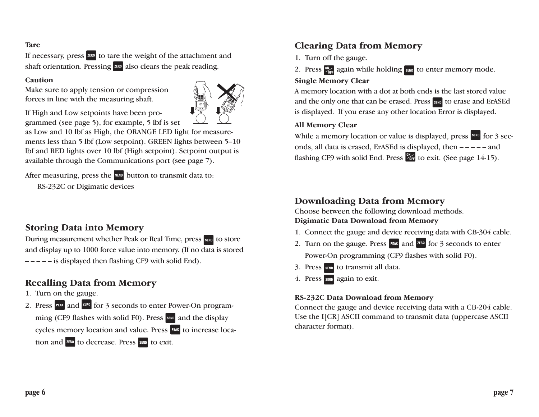### **Tare**

If necessary, press  $\frac{7600}{1000}$  to tare the weight of the attachment and shaft orientation. Pressing  $\frac{1}{2}$  also clears the peak reading.

#### **Caution**

Make sure to apply tension or compression forces in line with the measuring shaft.



If High and Low setpoints have been programmed (see page 5), for example, 5 lbf is set

as Low and 10 lbf as High, the ORANGE LED light for measurements less than 5 lbf (Low setpoint). GREEN lights between 5–10 lbf and RED lights over 10 lbf (High setpoint). Setpoint output is available through the Communications port (see page 7).

After measuring, press the  $\frac{\text{sum}}{\text{softmax}}$  button to transmit data to: RS-232C or Digimatic devices

### **Storing Data into Memory**

During measurement whether Peak or Real Time, press saw to store and display up to 1000 force value into memory. (If no data is stored **– – – – –** is displayed then flashing CF9 with solid End).

### **Recalling Data from Memory**

- 1. Turn on the gauge.
- 2. Press  $\frac{PFAK}{PFAK}$  and  $\frac{2FRO}{PFAK}$  for 3 seconds to enter Power-On programming (CF9 flashes with solid F0). Press same and the display cycles memory location and value. Press PEAK to increase location and  $\frac{1}{2}$  to decrease. Press  $\frac{1}{2}$  to exit.

### **Clearing Data from Memory**

- 1. Turn off the gauge.
- 2. Press  $\frac{dy}{dx}$  again while holding  $\frac{dy}{dx}$  to enter memory mode.

### **Single Memory Clear**

A memory location with a dot at both ends is the last stored value and the only one that can be erased. Press same to erase and ErASEd is displayed. If you erase any other location Error is displayed.

### **All Memory Clear**

While a memory location or value is displayed, press  $\frac{\sin 2\theta}{\cos 3 \sec 3\theta}$ onds, all data is erased, ErASEd is displayed, then **– – – – –** and flashing CF9 with solid End. Press  $\frac{90}{255}$  to exit. (See page 14-15).

### **Downloading Data from Memory**

Choose between the following download methods. **Digimatic Data Download from Memory**

- 1. Connect the gauge and device receiving data with CB-304 cable.
- 2. Turn on the gauge. Press  $\frac{PEM}{PAM}$  and  $\frac{2FRO}{PAM}$  for 3 seconds to enter Power-On programming (CF9 flashes with solid F0).
- 3. Press sample to transmit all data.
- 4. Press same again to exit.

### **RS-232C Data Download from Memory**

Connect the gauge and device receiving data with a CB-204 cable. Use the I[CR] ASCII command to transmit data (uppercase ASCII character format).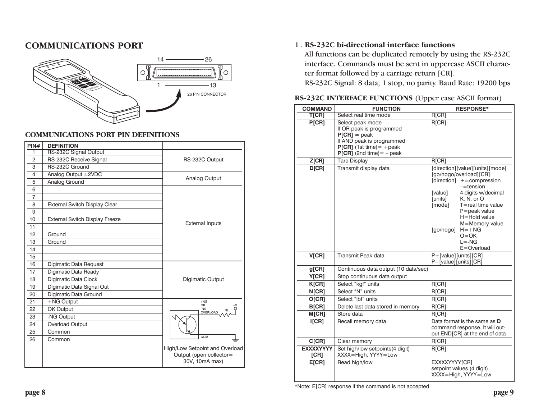### **COMMUNICATIONS PORT**



| <b>COMMUNICATIONS PORT PIN DEFINITIONS</b> |                                      |                                                                             |  |  |
|--------------------------------------------|--------------------------------------|-----------------------------------------------------------------------------|--|--|
| PIN#                                       | <b>DEFINITION</b>                    |                                                                             |  |  |
| 1                                          | RS-232C Signal Output                |                                                                             |  |  |
| $\overline{2}$                             | RS-232C Receive Signal               | RS-232C Output                                                              |  |  |
| 3                                          | RS-232C Ground                       |                                                                             |  |  |
| $\overline{4}$                             | Analog Output ±2VDC                  | Analog Output                                                               |  |  |
| 5                                          | Analog Ground                        |                                                                             |  |  |
| 6                                          |                                      |                                                                             |  |  |
| $\overline{7}$                             |                                      |                                                                             |  |  |
| 8                                          | <b>External Switch Display Clear</b> |                                                                             |  |  |
| 9                                          |                                      |                                                                             |  |  |
| 10                                         | External Switch Display Freeze       | <b>External Inputs</b>                                                      |  |  |
| 11                                         |                                      |                                                                             |  |  |
| 12                                         | Ground                               |                                                                             |  |  |
| 13                                         | Ground                               |                                                                             |  |  |
| 14                                         |                                      |                                                                             |  |  |
| 15                                         |                                      |                                                                             |  |  |
| 16                                         | Digimatic Data Request               |                                                                             |  |  |
| 17                                         | Digimatic Data Ready                 |                                                                             |  |  |
| 18                                         | Digimatic Data Clock                 | Digimatic Output                                                            |  |  |
| 19                                         | Digimatic Data Signal Out            |                                                                             |  |  |
| 20                                         | Digimatic Data Ground                |                                                                             |  |  |
| 21                                         | +NG Output                           | $+NG$<br>OK                                                                 |  |  |
| 22                                         | OK Output                            | NG<br>OVERLOAD                                                              |  |  |
| 23                                         | -NG Output                           |                                                                             |  |  |
| 24                                         | Overload Output                      |                                                                             |  |  |
| 25                                         | Common                               | COM                                                                         |  |  |
| 26                                         | Common                               |                                                                             |  |  |
|                                            |                                      | High/Low Setpoint and Overload<br>Output (open collector=<br>30V, 10mA max) |  |  |

### 1 . **RS-232C bi-directional interface functions**

All functions can be duplicated remotely by using the RS-232C interface. Commands must be sent in uppercase ASCII character format followed by a carriage return [CR].

RS-232C Signal: 8 data, 1 stop, no parity. Baud Rate: 19200 bps

| <b>COMMAND</b>           | <b>FUNCTION</b>                                                                                                                                             | <b>RESPONSE*</b>                                                                                                                                                                                                                                                                                                         |
|--------------------------|-------------------------------------------------------------------------------------------------------------------------------------------------------------|--------------------------------------------------------------------------------------------------------------------------------------------------------------------------------------------------------------------------------------------------------------------------------------------------------------------------|
| <b>T</b> [CR]            | Select real time mode                                                                                                                                       | R[CR]                                                                                                                                                                                                                                                                                                                    |
| P[CR]                    | Select peak mode<br>If OR peak is programmed<br>$P[CR] = peak$<br>If AND peak is programmed<br>$P[CR]$ (1st time) = + peak<br>$P[CR]$ (2nd time) = $-$ peak | R[CR]                                                                                                                                                                                                                                                                                                                    |
| Z[CR]                    | <b>Tare Display</b>                                                                                                                                         | <b>R[CR]</b>                                                                                                                                                                                                                                                                                                             |
| D[CR]                    | Transmit display data                                                                                                                                       | [direction][value][units][mode]<br>[go/nogo/overload][CR]<br>[direction] +=compression<br>$=$ tension<br>4 digits w/decimal<br>[value]<br>[units]<br>K, N, or O<br>[mode]<br>T=real time value<br>$P = peak$ value<br>H=Hold value<br>M=Memory value<br>$[go/nogo]$ $H = +NG$<br>$O = OK$<br>$I = -NG$<br>$E =$ Overload |
| V[CR]                    | Transmit Peak data                                                                                                                                          | P+[value][units][CR]<br>P- [value] [units] [CR]                                                                                                                                                                                                                                                                          |
| g[CR]                    | Continuous data output (10 data/sec)                                                                                                                        |                                                                                                                                                                                                                                                                                                                          |
| Y[CR]                    | Stop continuous data output                                                                                                                                 |                                                                                                                                                                                                                                                                                                                          |
| K[CR]                    | Select "kgf" units                                                                                                                                          | R[CR]                                                                                                                                                                                                                                                                                                                    |
| N[CR]                    | Select "N" units                                                                                                                                            | R[CR]                                                                                                                                                                                                                                                                                                                    |
| O[CR]                    | Select "Ibf" units                                                                                                                                          | R[CR]                                                                                                                                                                                                                                                                                                                    |
| B[CR]                    | Delete last data stored in memory                                                                                                                           | R[CR]                                                                                                                                                                                                                                                                                                                    |
| M <sub>[CR]</sub>        | Store data                                                                                                                                                  | R[CR]                                                                                                                                                                                                                                                                                                                    |
| I[CR]                    | Recall memory data                                                                                                                                          | Data format is the same as D<br>command response. It will out-<br>put END[CR] at the end of data                                                                                                                                                                                                                         |
| C[CR]                    | Clear memory                                                                                                                                                | R[CR]                                                                                                                                                                                                                                                                                                                    |
| <b>EXXXXYYYY</b><br>ICRI | Set high/low setpoints(4 digit)<br>XXXX=High, YYYY=Low                                                                                                      | R[CR]                                                                                                                                                                                                                                                                                                                    |
| E[CR]                    | Read high/low                                                                                                                                               | EXXXXYYYY[CR]<br>setpoint values (4 digit)<br>XXXX=High, YYYY=Low                                                                                                                                                                                                                                                        |

### **RS-232C INTERFACE FUNCTIONS** (Upper case ASCII format)

\*Note: E[CR] response if the command is not accepted.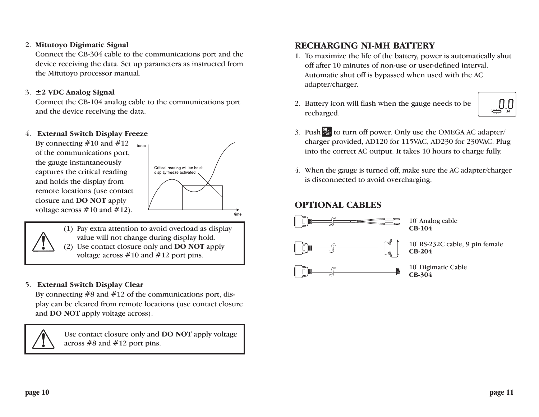### 2. **Mitutoyo Digimatic Signal**

Connect the CB-304 cable to the communications port and the device receiving the data. Set up parameters as instructed from the Mitutoyo processor manual.

### 3. **±2 VDC Analog Signal**

Connect the CB-104 analog cable to the communications port and the device receiving the data.

### 4. **External Switch Display Freeze**

By connecting  $#10$  and  $#12$ force of the communications port, the gauge instantaneously captures the critical reading and holds the display from remote locations (use contact closure and **DO NOT** apply voltage across  $\#10$  and  $\#12$ ).



- (1) Pay extra attention to avoid overload as display value will not change during display hold.
- (2) Use contact closure only and **DO NOT** apply voltage across #10 and #12 port pins.

### 5. **External Switch Display Clear**

By connecting  $#8$  and  $#12$  of the communications port, display can be cleared from remote locations (use contact closure and **DO NOT** apply voltage across).

Use contact closure only and **DO NOT** apply voltage across #8 and #12 port pins.

### **RECHARGING NI-MH BATTERY**

- 1. To maximize the life of the battery, power is automatically shut off after 10 minutes of non-use or user-defined interval. Automatic shut off is bypassed when used with the AC adapter/charger.
- 2. Battery icon will flash when the gauge needs to be recharged.



- 3. Push  $\frac{W}{\sqrt{H}}$  to turn off power. Only use the OMEGA AC adapter/ charger provided, AD120 for 115VAC, AD230 for 230VAC. Plug into the correct AC output. It takes 10 hours to charge fully.
- 4. When the gauge is turned off, make sure the AC adapter/charger is disconnected to avoid overcharging.

### **OPTIONAL CABLES**



10' RS-232C cable, 9 pin female

10' Digimatic Cable **CB-304**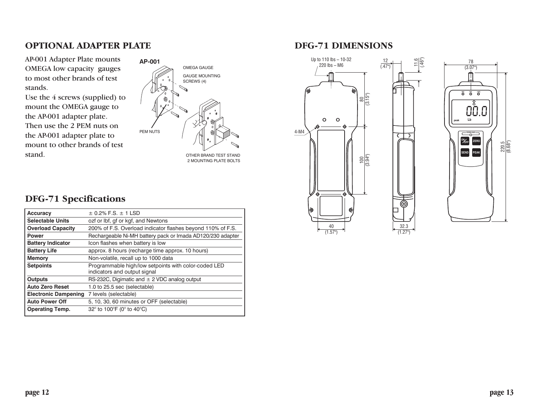### **OPTIONAL ADAPTER PLATE**

AP-001 Adapter Plate mounts OMEGA low capacity gauges to most other brands of test stands.

Use the 4 screws (supplied) to mount the OMEGA gauge to the AP-001 adapter plate. Then use the 2 PEM nuts on the AP-001 adapter plate to mount to other brands of test



### **DFG-71 Specifications**

| $\pm$ 0.2% F.S. $\pm$ 1 LSD                                                          |
|--------------------------------------------------------------------------------------|
| ozf or Ibf, gf or kgf, and Newtons                                                   |
| 200% of F.S. Overload indicator flashes beyond 110% of F.S.                          |
| Rechargeable Ni-MH battery pack or Imada AD120/230 adapter                           |
| Icon flashes when battery is low                                                     |
| approx. 8 hours (recharge time approx. 10 hours)                                     |
| Non-volatile, recall up to 1000 data                                                 |
| Programmable high/low setpoints with color-coded LED<br>indicators and output signal |
| RS-232C, Digimatic and $\pm$ 2 VDC analog output                                     |
| 1.0 to 25.5 sec (selectable)                                                         |
| 7 levels (selectable)                                                                |
| 5, 10, 30, 60 minutes or OFF (selectable)                                            |
| 32° to 100°F (0° to 40°C)                                                            |
|                                                                                      |

### **DFG-71 DIMENSIONS**





 $\frac{11.6}{(46")}$ 

32.3 (1.27")

(ම)

त ⊃